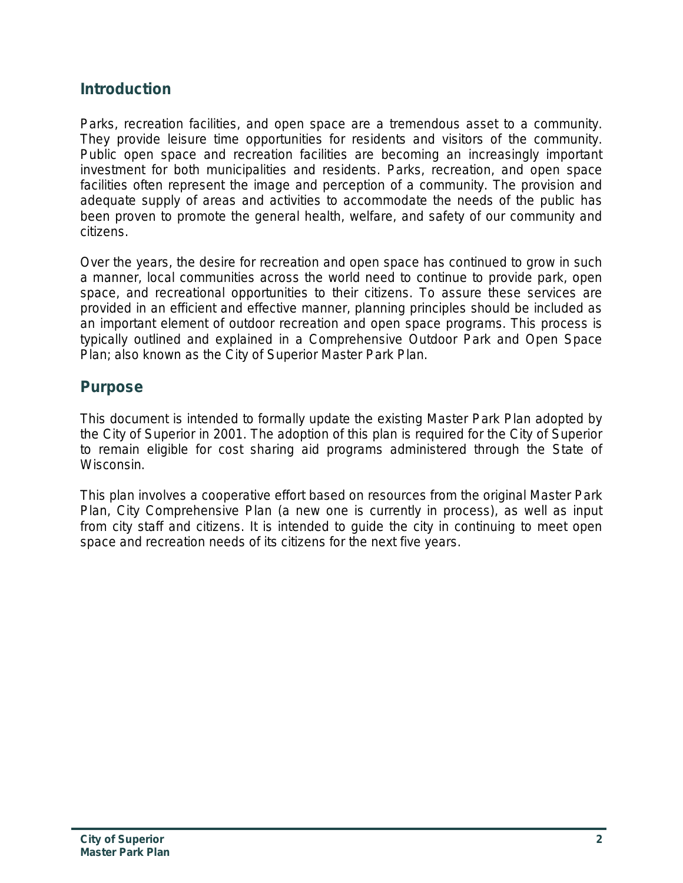# **Introduction**

Parks, recreation facilities, and open space are a tremendous asset to a community. They provide leisure time opportunities for residents and visitors of the community. Public open space and recreation facilities are becoming an increasingly important investment for both municipalities and residents. Parks, recreation, and open space facilities often represent the image and perception of a community. The provision and adequate supply of areas and activities to accommodate the needs of the public has been proven to promote the general health, welfare, and safety of our community and citizens.

Over the years, the desire for recreation and open space has continued to grow in such a manner, local communities across the world need to continue to provide park, open space, and recreational opportunities to their citizens. To assure these services are provided in an efficient and effective manner, planning principles should be included as an important element of outdoor recreation and open space programs. This process is typically outlined and explained in a Comprehensive Outdoor Park and Open Space Plan; also known as the City of Superior Master Park Plan.

## **Purpose**

This document is intended to formally update the existing Master Park Plan adopted by the City of Superior in 2001. The adoption of this plan is required for the City of Superior to remain eligible for cost sharing aid programs administered through the State of Wisconsin.

This plan involves a cooperative effort based on resources from the original Master Park Plan, City Comprehensive Plan (a new one is currently in process), as well as input from city staff and citizens. It is intended to guide the city in continuing to meet open space and recreation needs of its citizens for the next five years.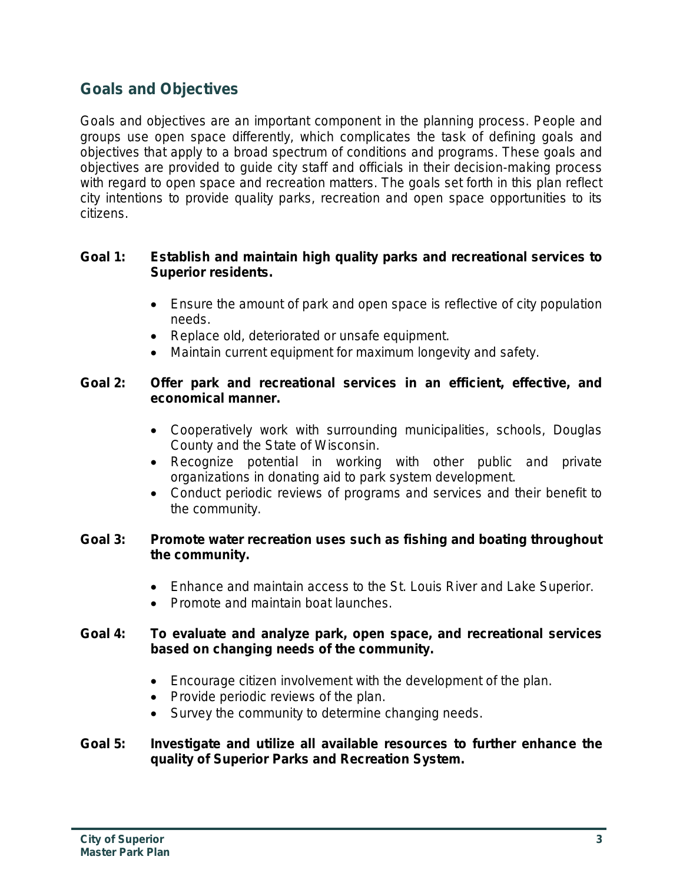# **Goals and Objectives**

Goals and objectives are an important component in the planning process. People and groups use open space differently, which complicates the task of defining goals and objectives that apply to a broad spectrum of conditions and programs. These goals and objectives are provided to guide city staff and officials in their decision-making process with regard to open space and recreation matters. The goals set forth in this plan reflect city intentions to provide quality parks, recreation and open space opportunities to its citizens.

## **Goal 1: Establish and maintain high quality parks and recreational services to Superior residents.**

- Ensure the amount of park and open space is reflective of city population needs.
- Replace old, deteriorated or unsafe equipment.
- Maintain current equipment for maximum longevity and safety.

## **Goal 2: Offer park and recreational services in an efficient, effective, and economical manner.**

- Cooperatively work with surrounding municipalities, schools, Douglas County and the State of Wisconsin.
- Recognize potential in working with other public and private organizations in donating aid to park system development.
- Conduct periodic reviews of programs and services and their benefit to the community.

#### **Goal 3: Promote water recreation uses such as fishing and boating throughout the community.**

- Enhance and maintain access to the St. Louis River and Lake Superior.
- Promote and maintain boat launches.

## **Goal 4: To evaluate and analyze park, open space, and recreational services based on changing needs of the community.**

- Encourage citizen involvement with the development of the plan.
- Provide periodic reviews of the plan.
- Survey the community to determine changing needs.

#### **Goal 5: Investigate and utilize all available resources to further enhance the quality of Superior Parks and Recreation System.**